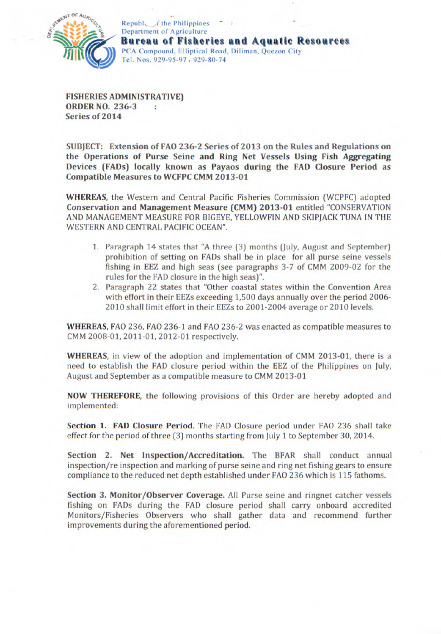

Republ.  $\angle f$  the Philippines Department of Agriculture **Bureau of Fisheries and Aquatic Resources**  PCA Compound, Elliptical Road, Diliman, Quezon City Tel. Nos. *929-95-97* . 929-80-74

**FISHERIES ADMINISTRATIVE) ORDER NO. 236-3**  ٠ **Series of 2014** 

**SUBJECT: Extension of FAO 236-2 Series of 2013 on the Rules and Regulations on the Operations of Purse Seine and Ring Net Vessels Using Fish Aggregating Devices (FADs) locally known as Payaos during the FAD Closure Period as Compatible Measures to WCFPC CMM 2013-01** 

**WHEREAS,** the Western and Central Pacific Fisheries Commission (WCPFC) adopted **Conservation and Management Measure (CMM) 2013-01** entitled "CONSERVATION AND MANAGEMENT MEASURE FOR BIGEYE, YELLOWFIN AND SKIPJACK TUNA IN THE WESTERN AND CENTRAL PACIFIC OCEAN".

- Paragraph 14 states that "A three (3) months (July, August and September) prohibition of setting on FADs shall be in place for all purse seine vessels fishing in EEZ and high seas (see paragraphs 3-7 of CMM 2009-02 for the rules for the FAD closure in the high seas)".
- 2. Paragraph 22 states that "Other coastal states within the Convention Area with effort in their EEZs exceeding 1,500 days annually over the period 2006- 2010 shall limit effort in their EEZs to 2001-2004 average or 2010 levels.

**WHEREAS,** FAO 236, FAO 236-1 and FAO 236-2 was enacted as compatible measures to CMM 2008-01, 2011-01, 2012-01 respectively.

**WHEREAS,** in view of the adoption and implementation of CMM 2013-01, there is a need to establish the FAD closure period within the EEZ of the Philippines on July, August and September as a compatible measure to CMM 2013-01

**NOW THEREFORE,** the following provisions of this Order are hereby adopted and implemented:

**Section 1. FAD Closure Period.** The FAD Closure period under FAO 236 shall take effect for the period of three (3) months starting from July 1 to September 30, 2014.

**Section 2. Net Inspection/Accreditation.** The BFAR shall conduct annual inspection/re inspection and marking of purse seine and ring net fishing gears to ensure compliance to the reduced net depth established under FAO 236 which is 115 fathoms.

**Section 3. Monitor/Observer Coverage.** All Purse seine and ringnet catcher vessels fishing on FADs during the FAD closure period shall carry onboard accredited Monitors/Fisheries Observers who shall gather data and recommend further improvements during the aforementioned period.